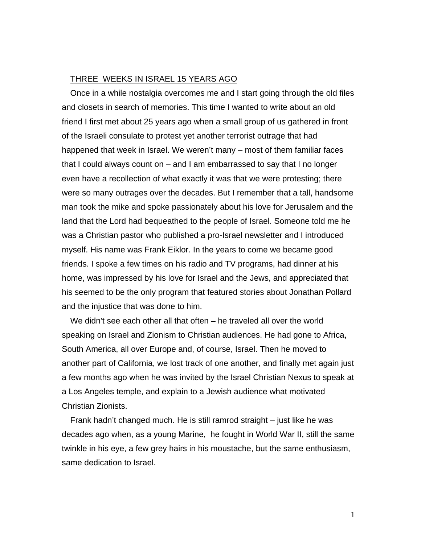## THREE WEEKS IN ISRAEL 15 YEARS AGO

Once in a while nostalgia overcomes me and I start going through the old files and closets in search of memories. This time I wanted to write about an old friend I first met about 25 years ago when a small group of us gathered in front of the Israeli consulate to protest yet another terrorist outrage that had happened that week in Israel. We weren't many – most of them familiar faces that I could always count on – and I am embarrassed to say that I no longer even have a recollection of what exactly it was that we were protesting; there were so many outrages over the decades. But I remember that a tall, handsome man took the mike and spoke passionately about his love for Jerusalem and the land that the Lord had bequeathed to the people of Israel. Someone told me he was a Christian pastor who published a pro-Israel newsletter and I introduced myself. His name was Frank Eiklor. In the years to come we became good friends. I spoke a few times on his radio and TV programs, had dinner at his home, was impressed by his love for Israel and the Jews, and appreciated that his seemed to be the only program that featured stories about Jonathan Pollard and the injustice that was done to him.

We didn't see each other all that often – he traveled all over the world speaking on Israel and Zionism to Christian audiences. He had gone to Africa, South America, all over Europe and, of course, Israel. Then he moved to another part of California, we lost track of one another, and finally met again just a few months ago when he was invited by the Israel Christian Nexus to speak at a Los Angeles temple, and explain to a Jewish audience what motivated Christian Zionists.

Frank hadn't changed much. He is still ramrod straight – just like he was decades ago when, as a young Marine, he fought in World War II, still the same twinkle in his eye, a few grey hairs in his moustache, but the same enthusiasm, same dedication to Israel.

1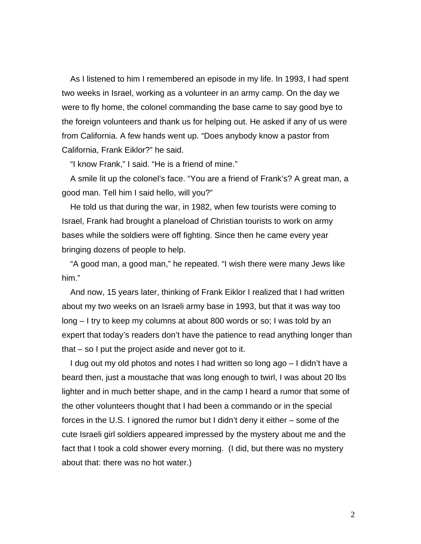As I listened to him I remembered an episode in my life. In 1993, I had spent two weeks in Israel, working as a volunteer in an army camp. On the day we were to fly home, the colonel commanding the base came to say good bye to the foreign volunteers and thank us for helping out. He asked if any of us were from California. A few hands went up. "Does anybody know a pastor from California, Frank Eiklor?" he said.

"I know Frank," I said. "He is a friend of mine."

A smile lit up the colonel's face. "You are a friend of Frank's? A great man, a good man. Tell him I said hello, will you?"

He told us that during the war, in 1982, when few tourists were coming to Israel, Frank had brought a planeload of Christian tourists to work on army bases while the soldiers were off fighting. Since then he came every year bringing dozens of people to help.

"A good man, a good man," he repeated. "I wish there were many Jews like him."

And now, 15 years later, thinking of Frank Eiklor I realized that I had written about my two weeks on an Israeli army base in 1993, but that it was way too long – I try to keep my columns at about 800 words or so; I was told by an expert that today's readers don't have the patience to read anything longer than that – so I put the project aside and never got to it.

I dug out my old photos and notes I had written so long ago – I didn't have a beard then, just a moustache that was long enough to twirl, I was about 20 lbs lighter and in much better shape, and in the camp I heard a rumor that some of the other volunteers thought that I had been a commando or in the special forces in the U.S. I ignored the rumor but I didn't deny it either – some of the cute Israeli girl soldiers appeared impressed by the mystery about me and the fact that I took a cold shower every morning. (I did, but there was no mystery about that: there was no hot water.)